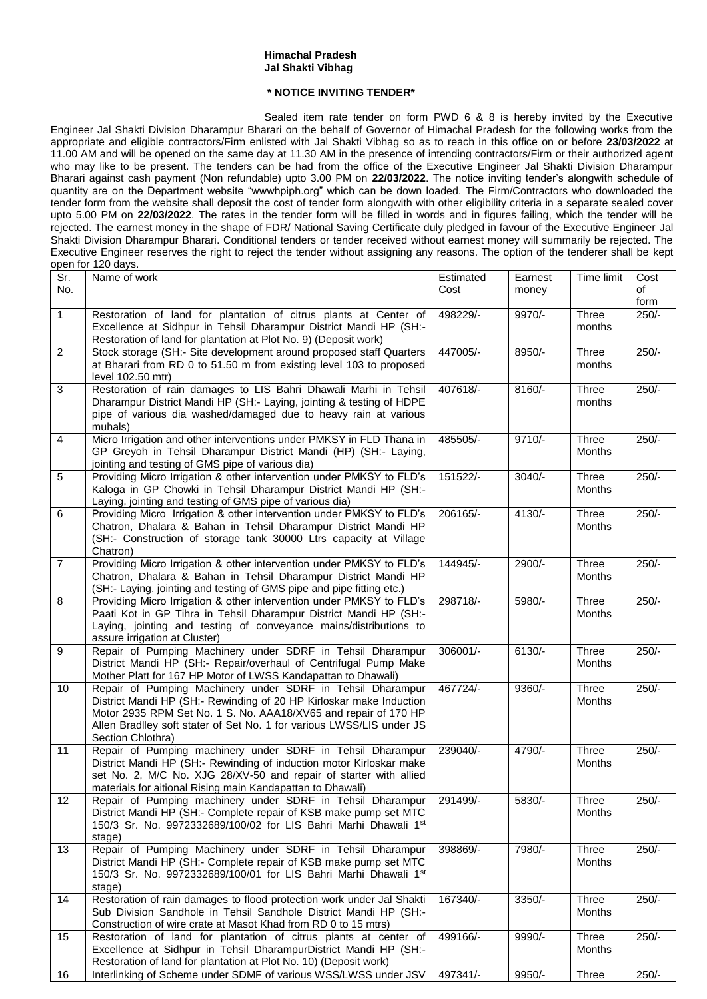## **Himachal Pradesh Jal Shakti Vibhag**

## **\* NOTICE INVITING TENDER\***

Sealed item rate tender on form PWD 6 & 8 is hereby invited by the Executive Engineer Jal Shakti Division Dharampur Bharari on the behalf of Governor of Himachal Pradesh for the following works from the appropriate and eligible contractors/Firm enlisted with Jal Shakti Vibhag so as to reach in this office on or before **23/03/2022** at 11.00 AM and will be opened on the same day at 11.30 AM in the presence of intending contractors/Firm or their authorized agent who may like to be present. The tenders can be had from the office of the Executive Engineer Jal Shakti Division Dharampur Bharari against cash payment (Non refundable) upto 3.00 PM on **22/03/2022**. The notice inviting tender's alongwith schedule of quantity are on the Department website "wwwhpiph.org" which can be down loaded. The Firm/Contractors who downloaded the tender form from the website shall deposit the cost of tender form alongwith with other eligibility criteria in a separate sealed cover upto 5.00 PM on **22/03/2022**. The rates in the tender form will be filled in words and in figures failing, which the tender will be rejected. The earnest money in the shape of FDR/ National Saving Certificate duly pledged in favour of the Executive Engineer Jal Shakti Division Dharampur Bharari. Conditional tenders or tender received without earnest money will summarily be rejected. The Executive Engineer reserves the right to reject the tender without assigning any reasons. The option of the tenderer shall be kept open for 120 days.

| Sr.<br>No.      | Name of work                                                                                                                                                                                                                                                                                       | Estimated<br>Cost | Earnest<br>money | Time limit                    | Cost<br>of    |
|-----------------|----------------------------------------------------------------------------------------------------------------------------------------------------------------------------------------------------------------------------------------------------------------------------------------------------|-------------------|------------------|-------------------------------|---------------|
| $\mathbf{1}$    | Restoration of land for plantation of citrus plants at Center of                                                                                                                                                                                                                                   | 498229/-          | 9970/-           | Three                         | form<br>250/- |
|                 | Excellence at Sidhpur in Tehsil Dharampur District Mandi HP (SH:-<br>Restoration of land for plantation at Plot No. 9) (Deposit work)                                                                                                                                                              |                   |                  | months                        |               |
| $\overline{2}$  | Stock storage (SH:- Site development around proposed staff Quarters<br>at Bharari from RD 0 to 51.50 m from existing level 103 to proposed<br>level 102.50 mtr)                                                                                                                                    | 447005/-          | 8950/-           | Three<br>months               | $250/-$       |
| $\sqrt{3}$      | Restoration of rain damages to LIS Bahri Dhawali Marhi in Tehsil<br>Dharampur District Mandi HP (SH:- Laying, jointing & testing of HDPE<br>pipe of various dia washed/damaged due to heavy rain at various<br>muhals)                                                                             | 407618/-          | 8160/-           | Three<br>months               | $250/-$       |
| $\overline{4}$  | Micro Irrigation and other interventions under PMKSY in FLD Thana in<br>GP Greyoh in Tehsil Dharampur District Mandi (HP) (SH:- Laying,<br>jointing and testing of GMS pipe of various dia)                                                                                                        | 485505/-          | $9710/-$         | Three<br>Months               | $250/-$       |
| 5               | Providing Micro Irrigation & other intervention under PMKSY to FLD's<br>Kaloga in GP Chowki in Tehsil Dharampur District Mandi HP (SH:-<br>Laying, jointing and testing of GMS pipe of various dia)                                                                                                | 151522/-          | $3040/-$         | Three<br>Months               | $250/-$       |
| 6               | Providing Micro Irrigation & other intervention under PMKSY to FLD's<br>Chatron, Dhalara & Bahan in Tehsil Dharampur District Mandi HP<br>(SH:- Construction of storage tank 30000 Ltrs capacity at Village<br>Chatron)                                                                            | 206165/-          | 4130/-           | Three<br>Months               | $250/-$       |
| $\overline{7}$  | Providing Micro Irrigation & other intervention under PMKSY to FLD's<br>Chatron, Dhalara & Bahan in Tehsil Dharampur District Mandi HP<br>(SH:- Laying, jointing and testing of GMS pipe and pipe fitting etc.)                                                                                    | 144945/-          | 2900/-           | <b>Three</b><br><b>Months</b> | $250/-$       |
| 8               | Providing Micro Irrigation & other intervention under PMKSY to FLD's<br>Paati Kot in GP Tihra in Tehsil Dharampur District Mandi HP (SH:-<br>Laying, jointing and testing of conveyance mains/distributions to<br>assure irrigation at Cluster)                                                    | 298718/-          | 5980/-           | Three<br>Months               | $250/-$       |
| 9               | Repair of Pumping Machinery under SDRF in Tehsil Dharampur<br>District Mandi HP (SH:- Repair/overhaul of Centrifugal Pump Make<br>Mother Platt for 167 HP Motor of LWSS Kandapattan to Dhawali)                                                                                                    | 306001/-          | 6130/-           | Three<br>Months               | $250/-$       |
| 10              | Repair of Pumping Machinery under SDRF in Tehsil Dharampur<br>District Mandi HP (SH:- Rewinding of 20 HP Kirloskar make Induction<br>Motor 2935 RPM Set No. 1 S. No. AAA18/XV65 and repair of 170 HP<br>Allen Bradlley soft stater of Set No. 1 for various LWSS/LIS under JS<br>Section Chlothra) | 467724/-          | 9360/-           | Three<br>Months               | $250/-$       |
| 11              | Repair of Pumping machinery under SDRF in Tehsil Dharampur<br>District Mandi HP (SH:- Rewinding of induction motor Kirloskar make<br>set No. 2, M/C No. XJG 28/XV-50 and repair of starter with allied<br>materials for aitional Rising main Kandapattan to Dhawali)                               | 239040/-          | 4790/-           | Three<br>Months               | $250/-$       |
| 12 <sub>2</sub> | Repair of Pumping machinery under SDRF in Tehsil Dharampur 291499/-<br>District Mandi HP (SH:- Complete repair of KSB make pump set MTC<br>150/3 Sr. No. 9972332689/100/02 for LIS Bahri Marhi Dhawali 1st<br>stage)                                                                               |                   | 5830/-           | Three<br>Months               | $250/-$       |
| 13              | Repair of Pumping Machinery under SDRF in Tehsil Dharampur<br>District Mandi HP (SH:- Complete repair of KSB make pump set MTC<br>150/3 Sr. No. 9972332689/100/01 for LIS Bahri Marhi Dhawali 1st<br>stage)                                                                                        | 398869/-          | 7980/-           | Three<br>Months               | $250/-$       |
| 14              | Restoration of rain damages to flood protection work under Jal Shakti<br>Sub Division Sandhole in Tehsil Sandhole District Mandi HP (SH:-<br>Construction of wire crate at Masot Khad from RD 0 to 15 mtrs)                                                                                        | 167340/-          | 3350/-           | Three<br>Months               | $250/-$       |
| 15              | Restoration of land for plantation of citrus plants at center of<br>Excellence at Sidhpur in Tehsil DharampurDistrict Mandi HP (SH:-<br>Restoration of land for plantation at Plot No. 10) (Deposit work)                                                                                          | 499166/-          | 9990/-           | Three<br>Months               | $250/-$       |
| 16              | Interlinking of Scheme under SDMF of various WSS/LWSS under JSV                                                                                                                                                                                                                                    | 497341/-          | 9950/-           | Three                         | $250/-$       |